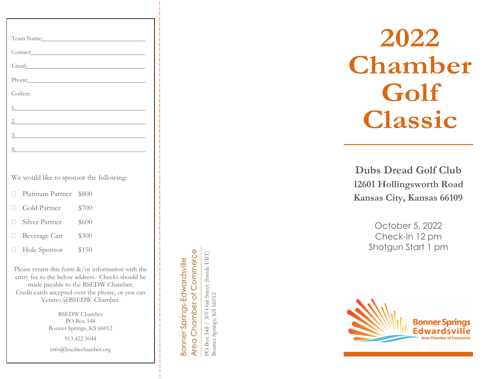| Team Name:                                                                                                                                                                                                                     |
|--------------------------------------------------------------------------------------------------------------------------------------------------------------------------------------------------------------------------------|
| Contact:                                                                                                                                                                                                                       |
| Email: Contract Contract Contract Contract Contract Contract Contract Contract Contract Contract Contract Contract Contract Contract Contract Contract Contract Contract Contract Contract Contract Contract Contract Contract |
| Phone: Phone Phone Phone Phone Phone Phone Phone Phone Phone Phone Phone Phone Phone Phone Phone Phone Phone Phone Phone Phone Phone Phone Phone Phone Phone Phone Phone Phone Phone Phone Phone Phone Phone Phone Phone Phone |
| Golfers:                                                                                                                                                                                                                       |
|                                                                                                                                                                                                                                |
|                                                                                                                                                                                                                                |
|                                                                                                                                                                                                                                |
| 4.                                                                                                                                                                                                                             |
|                                                                                                                                                                                                                                |
| We would like to sponsor the following:                                                                                                                                                                                        |

- Platinum Partner \$800
- Gold Partner \$700
- □ Silver Partner \$600
- Beverage Cart \$300
- □ Hole Sponsor \$150

Please return this form  $\&$ /or information with the entry fee to the below address. Checks should be made payable to the BSEDW Chamber. Credit cards accepted over the phone, or you can Venmo @BSEDW -Chamber.

> BSEDW Chamber PO Box 548 Bonner Springs, KS 66012

> > 913.422.5044

info@bsedwchamber.org

Area Chamber of Commerce Area Chamber of Commerce Bonner Springs-Edwardsville Bonner Springs-Edwardsville

PO Box 548 / 309 Oak Street (Inside UBT) PO Box 548 / 309 Oak Street (Inside UBT) Bonner Springs, KS 66012 Bonner Springs, KS 66012

# **20 22 Chamber**  Golf **C lassic**

**Dubs Dread Golf Club 12601 Hollingsworth Road Kansas City, Kansas 66109**

> October 5 , 20 2 2 Check -In 12 pm Shotgun Start 1 pm